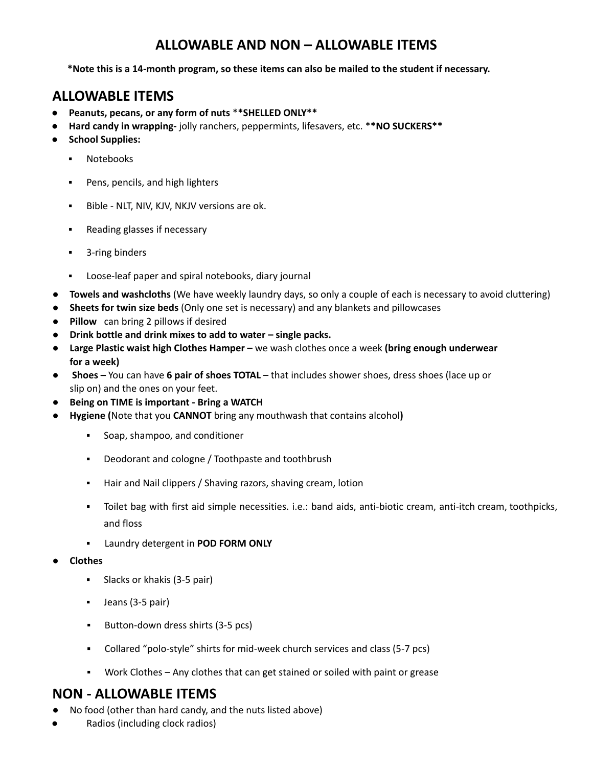## **ALLOWABLE AND NON – ALLOWABLE ITEMS**

**\*Note this is a 14-month program, so these items can also be mailed to the student if necessary.**

## **ALLOWABLE ITEMS**

- **Peanuts, pecans, or any form of nuts** \***\*SHELLED ONLY\*\***
- **Hard candy in wrapping-** jolly ranchers, peppermints, lifesavers, etc. \***\*NO SUCKERS\*\***
- **School Supplies:**
	- **Notebooks**
	- **•** Pens, pencils, and high lighters
	- Bible NLT, NIV, KJV, NKJV versions are ok.
	- Reading glasses if necessary
	- 3-ring binders
	- Loose-leaf paper and spiral notebooks, diary journal
- **Towels and washcloths** (We have weekly laundry days, so only a couple of each is necessary to avoid cluttering)
- **Sheets for twin size beds** (Only one set is necessary) and any blankets and pillowcases
- **Pillow** can bring 2 pillows if desired
- **Drink bottle and drink mixes to add to water – single packs.**
- **Large Plastic waist high Clothes Hamper –** we wash clothes once a week **(bring enough underwear for a week)**
- **Shoes –** You can have **6 pair of shoes TOTAL** that includes shower shoes, dress shoes (lace up or slip on) and the ones on your feet.
- **Being on TIME is important - Bring a WATCH**
- **Hygiene (**Note that you **CANNOT** bring any mouthwash that contains alcohol**)**
	- Soap, shampoo, and conditioner
	- Deodorant and cologne / Toothpaste and toothbrush
	- Hair and Nail clippers / Shaving razors, shaving cream, lotion
	- Toilet bag with first aid simple necessities. i.e.: band aids, anti-biotic cream, anti-itch cream, toothpicks, and floss
	- Laundry detergent in **POD FORM ONLY**
- **Clothes**
	- Slacks or khakis (3-5 pair)
	- Jeans (3-5 pair)
	- **Button-down dress shirts (3-5 pcs)**
	- Collared "polo-style" shirts for mid-week church services and class (5-7 pcs)
	- Work Clothes Any clothes that can get stained or soiled with paint or grease

## **NON - ALLOWABLE ITEMS**

- No food (other than hard candy, and the nuts listed above)
- Radios (including clock radios)